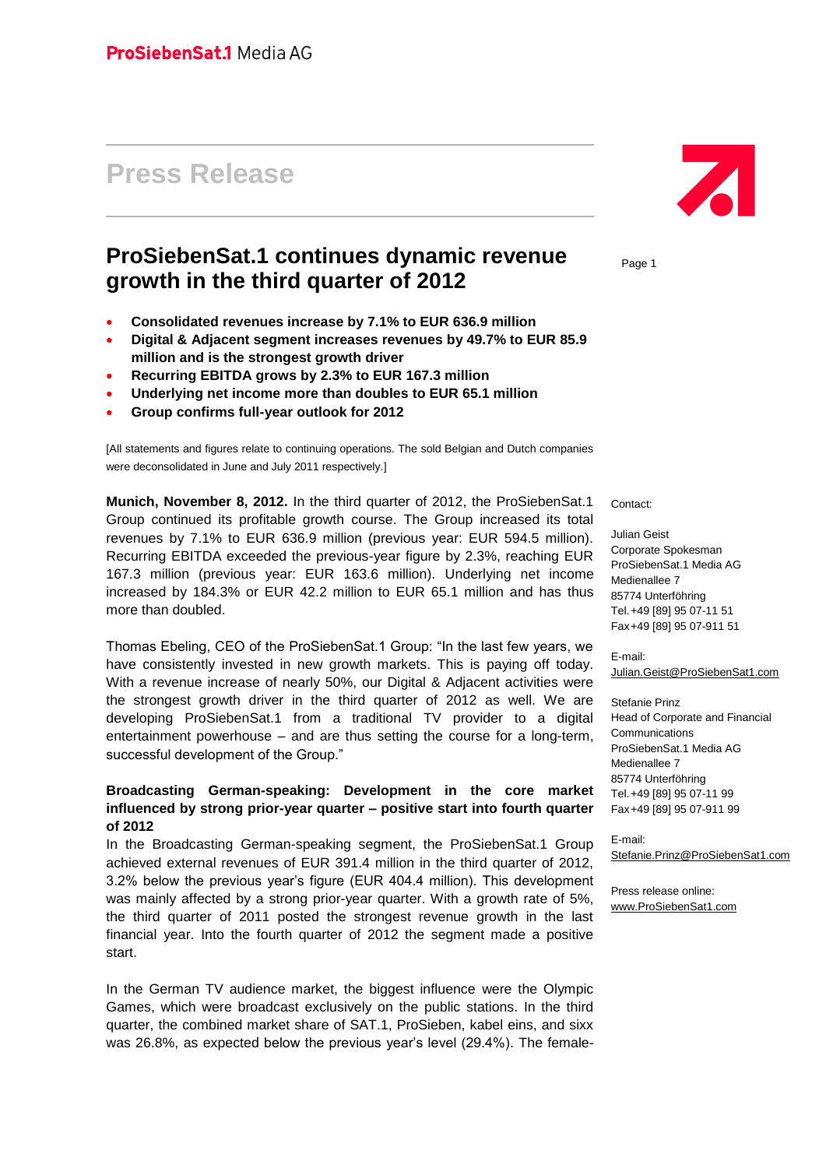# **Press Release**

## **ProSiebenSat.1 continues dynamic revenue growth in the third quarter of 2012**

- **Consolidated revenues increase by 7.1% to EUR 636.9 million**
- **Digital & Adjacent segment increases revenues by 49.7% to EUR 85.9 million and is the strongest growth driver**
- **Recurring EBITDA grows by 2.3% to EUR 167.3 million**
- **Underlying net income more than doubles to EUR 65.1 million**
- **Group confirms full-year outlook for 2012**

[All statements and figures relate to continuing operations. The sold Belgian and Dutch companies were deconsolidated in June and July 2011 respectively.]

**Munich, November 8, 2012.** In the third quarter of 2012, the ProSiebenSat.1 Group continued its profitable growth course. The Group increased its total revenues by 7.1% to EUR 636.9 million (previous year: EUR 594.5 million). Recurring EBITDA exceeded the previous-year figure by 2.3%, reaching EUR 167.3 million (previous year: EUR 163.6 million). Underlying net income increased by 184.3% or EUR 42.2 million to EUR 65.1 million and has thus more than doubled.

Thomas Ebeling, CEO of the ProSiebenSat.1 Group: "In the last few years, we have consistently invested in new growth markets. This is paying off today. With a revenue increase of nearly 50%, our Digital & Adjacent activities were the strongest growth driver in the third quarter of 2012 as well. We are developing ProSiebenSat.1 from a traditional TV provider to a digital entertainment powerhouse – and are thus setting the course for a long-term, successful development of the Group."

### **Broadcasting German-speaking: Development in the core market influenced by strong prior-year quarter – positive start into fourth quarter of 2012**

In the Broadcasting German-speaking segment, the ProSiebenSat.1 Group achieved external revenues of EUR 391.4 million in the third quarter of 2012, 3.2% below the previous year's figure (EUR 404.4 million). This development was mainly affected by a strong prior-year quarter. With a growth rate of 5%, the third quarter of 2011 posted the strongest revenue growth in the last financial year. Into the fourth quarter of 2012 the segment made a positive start.

In the German TV audience market, the biggest influence were the Olympic Games, which were broadcast exclusively on the public stations. In the third quarter, the combined market share of SAT.1, ProSieben, kabel eins, and sixx was 26.8%, as expected below the previous year's level (29.4%). The female-



Page 1

Contact:

Julian Geist Corporate Spokesman ProSiebenSat.1 Media AG Medienallee 7 85774 Unterföhring Tel.+49 [89] 95 07-11 51 Fax+49 [89] 95 07-911 51

E-mail: [Julian.Geist@ProSiebenSat1.com](mailto:Julian.Geist@ProSiebenSat1.com)

Stefanie Prinz Head of Corporate and Financial Communications ProSiebenSat.1 Media AG Medienallee 7 85774 Unterföhring Tel.+49 [89] 95 07-11 99 Fax+49 [89] 95 07-911 99

E-mail: [Stefanie.Prinz@ProSiebenSat1.com](file:///D:/Users/pri0001s/AppData/Local/Microsoft/Windows/Temporary%20Internet%20Files/Content.Outlook/AppData/Local/Microsoft/Windows/Temporary%20Internet%20Files/AppData/Local/Microsoft/Windows/Temporary%20Internet%20Files/Content.Outlook/AppData/Local/Microsoft/Windows/Temporary%20Internet%20Files/AppData/Local/Microsoft/Windows/Temporary%20Internet%20Files/AppData/Local/Microsoft/Windows/Temporary%20Internet%20Files/Content.Outlook/AppData/Local/Microsoft/Windows/Temporary%20Internet%20Files/Content.Outlook/AppData/Local/Microsoft/Windows/Temporary%20Internet%20Files/AppData/Local/Microsoft/Windows/Temporary%20Internet%20Files/Content.Outlook/AppData/Local/Microsoft/Windows/Temporary%20Internet%20Files/Content.Outlook/D7J5EL6A/Stefanie.Prinz@ProSiebenSat1.com)

Press release online: [www.ProSiebenSat1.com](http://www.prosiebensat1.com/)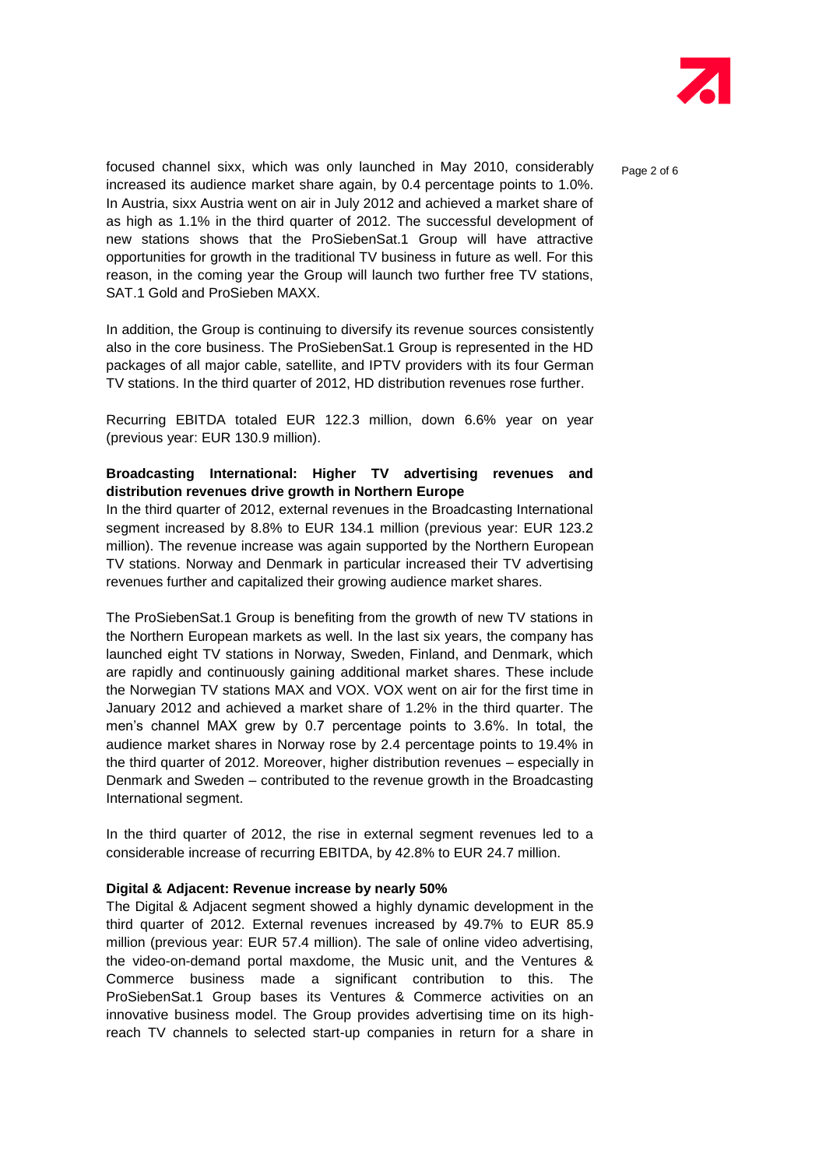

Page 2 of 6

focused channel sixx, which was only launched in May 2010, considerably increased its audience market share again, by 0.4 percentage points to 1.0%. In Austria, sixx Austria went on air in July 2012 and achieved a market share of as high as 1.1% in the third quarter of 2012. The successful development of new stations shows that the ProSiebenSat.1 Group will have attractive opportunities for growth in the traditional TV business in future as well. For this reason, in the coming year the Group will launch two further free TV stations, SAT.1 Gold and ProSieben MAXX.

In addition, the Group is continuing to diversify its revenue sources consistently also in the core business. The ProSiebenSat.1 Group is represented in the HD packages of all major cable, satellite, and IPTV providers with its four German TV stations. In the third quarter of 2012, HD distribution revenues rose further.

Recurring EBITDA totaled EUR 122.3 million, down 6.6% year on year (previous year: EUR 130.9 million).

### **Broadcasting International: Higher TV advertising revenues and distribution revenues drive growth in Northern Europe**

In the third quarter of 2012, external revenues in the Broadcasting International segment increased by 8.8% to EUR 134.1 million (previous year: EUR 123.2 million). The revenue increase was again supported by the Northern European TV stations. Norway and Denmark in particular increased their TV advertising revenues further and capitalized their growing audience market shares.

The ProSiebenSat.1 Group is benefiting from the growth of new TV stations in the Northern European markets as well. In the last six years, the company has launched eight TV stations in Norway, Sweden, Finland, and Denmark, which are rapidly and continuously gaining additional market shares. These include the Norwegian TV stations MAX and VOX. VOX went on air for the first time in January 2012 and achieved a market share of 1.2% in the third quarter. The men's channel MAX grew by 0.7 percentage points to 3.6%. In total, the audience market shares in Norway rose by 2.4 percentage points to 19.4% in the third quarter of 2012. Moreover, higher distribution revenues – especially in Denmark and Sweden – contributed to the revenue growth in the Broadcasting International segment.

In the third quarter of 2012, the rise in external segment revenues led to a considerable increase of recurring EBITDA, by 42.8% to EUR 24.7 million.

#### **Digital & Adjacent: Revenue increase by nearly 50%**

The Digital & Adjacent segment showed a highly dynamic development in the third quarter of 2012. External revenues increased by 49.7% to EUR 85.9 million (previous year: EUR 57.4 million). The sale of online video advertising, the video-on-demand portal maxdome, the Music unit, and the Ventures & Commerce business made a significant contribution to this. The ProSiebenSat.1 Group bases its Ventures & Commerce activities on an innovative business model. The Group provides advertising time on its highreach TV channels to selected start-up companies in return for a share in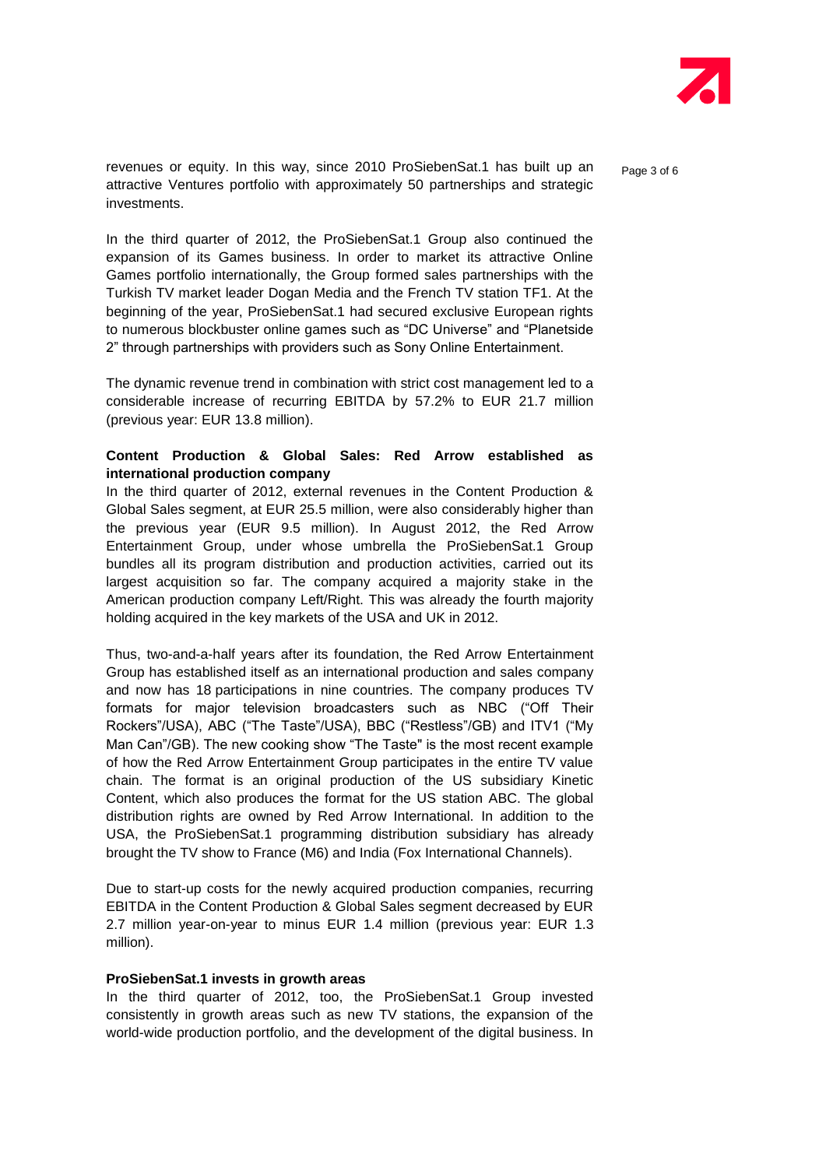

revenues or equity. In this way, since 2010 ProSiebenSat.1 has built up an attractive Ventures portfolio with approximately 50 partnerships and strategic investments.

Page 3 of 6

In the third quarter of 2012, the ProSiebenSat.1 Group also continued the expansion of its Games business. In order to market its attractive Online Games portfolio internationally, the Group formed sales partnerships with the Turkish TV market leader Dogan Media and the French TV station TF1. At the beginning of the year, ProSiebenSat.1 had secured exclusive European rights to numerous blockbuster online games such as "DC Universe" and "Planetside 2" through partnerships with providers such as Sony Online Entertainment.

The dynamic revenue trend in combination with strict cost management led to a considerable increase of recurring EBITDA by 57.2% to EUR 21.7 million (previous year: EUR 13.8 million).

### **Content Production & Global Sales: Red Arrow established as international production company**

In the third quarter of 2012, external revenues in the Content Production & Global Sales segment, at EUR 25.5 million, were also considerably higher than the previous year (EUR 9.5 million). In August 2012, the Red Arrow Entertainment Group, under whose umbrella the ProSiebenSat.1 Group bundles all its program distribution and production activities, carried out its largest acquisition so far. The company acquired a majority stake in the American production company Left/Right. This was already the fourth majority holding acquired in the key markets of the USA and UK in 2012.

Thus, two-and-a-half years after its foundation, the Red Arrow Entertainment Group has established itself as an international production and sales company and now has 18 participations in nine countries. The company produces TV formats for major television broadcasters such as NBC ("Off Their Rockers"/USA), ABC ("The Taste"/USA), BBC ("Restless"/GB) and ITV1 ("My Man Can"/GB). The new cooking show "The Taste" is the most recent example of how the Red Arrow Entertainment Group participates in the entire TV value chain. The format is an original production of the US subsidiary Kinetic Content, which also produces the format for the US station ABC. The global distribution rights are owned by Red Arrow International. In addition to the USA, the ProSiebenSat.1 programming distribution subsidiary has already brought the TV show to France (M6) and India (Fox International Channels).

Due to start-up costs for the newly acquired production companies, recurring EBITDA in the Content Production & Global Sales segment decreased by EUR 2.7 million year-on-year to minus EUR 1.4 million (previous year: EUR 1.3 million).

#### **ProSiebenSat.1 invests in growth areas**

In the third quarter of 2012, too, the ProSiebenSat.1 Group invested consistently in growth areas such as new TV stations, the expansion of the world-wide production portfolio, and the development of the digital business. In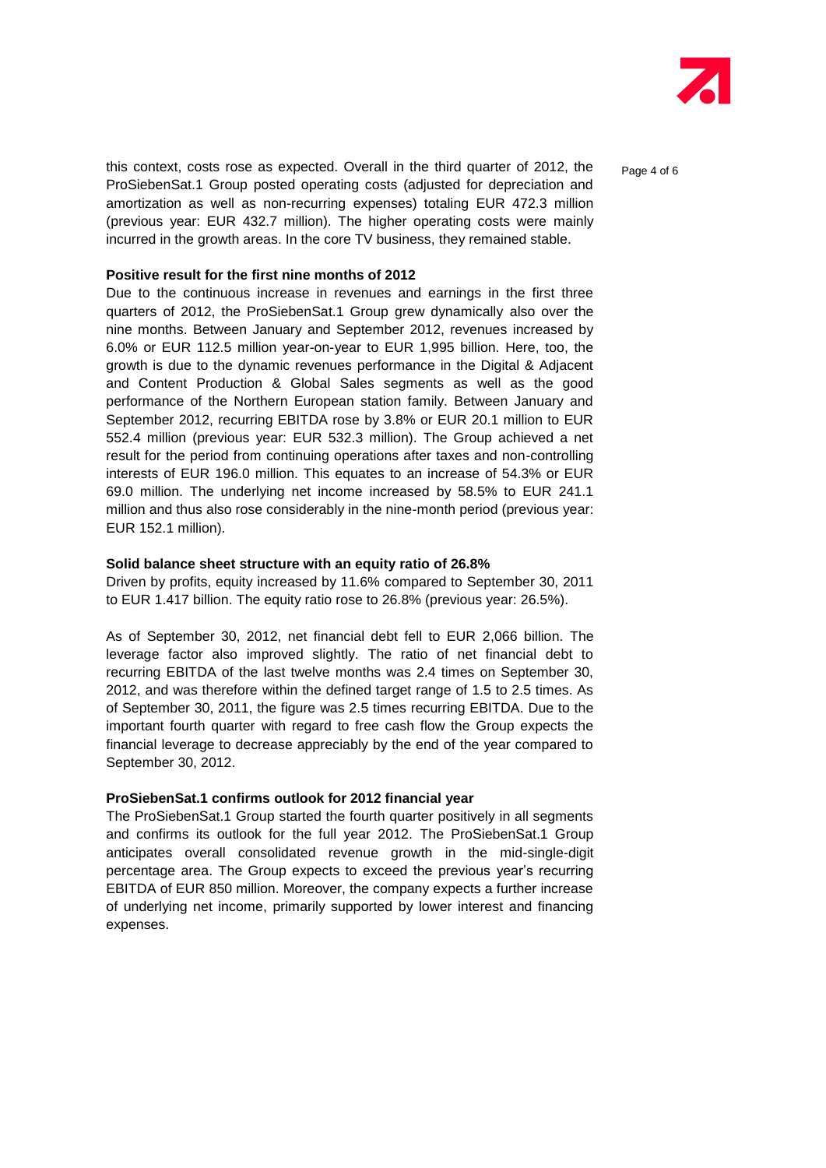

this context, costs rose as expected. Overall in the third quarter of 2012, the ProSiebenSat.1 Group posted operating costs (adjusted for depreciation and amortization as well as non-recurring expenses) totaling EUR 472.3 million (previous year: EUR 432.7 million). The higher operating costs were mainly incurred in the growth areas. In the core TV business, they remained stable.

#### **Positive result for the first nine months of 2012**

Due to the continuous increase in revenues and earnings in the first three quarters of 2012, the ProSiebenSat.1 Group grew dynamically also over the nine months. Between January and September 2012, revenues increased by 6.0% or EUR 112.5 million year-on-year to EUR 1,995 billion. Here, too, the growth is due to the dynamic revenues performance in the Digital & Adjacent and Content Production & Global Sales segments as well as the good performance of the Northern European station family. Between January and September 2012, recurring EBITDA rose by 3.8% or EUR 20.1 million to EUR 552.4 million (previous year: EUR 532.3 million). The Group achieved a net result for the period from continuing operations after taxes and non-controlling interests of EUR 196.0 million. This equates to an increase of 54.3% or EUR 69.0 million. The underlying net income increased by 58.5% to EUR 241.1 million and thus also rose considerably in the nine-month period (previous year: EUR 152.1 million).

#### **Solid balance sheet structure with an equity ratio of 26.8%**

Driven by profits, equity increased by 11.6% compared to September 30, 2011 to EUR 1.417 billion. The equity ratio rose to 26.8% (previous year: 26.5%).

As of September 30, 2012, net financial debt fell to EUR 2,066 billion. The leverage factor also improved slightly. The ratio of net financial debt to recurring EBITDA of the last twelve months was 2.4 times on September 30, 2012, and was therefore within the defined target range of 1.5 to 2.5 times. As of September 30, 2011, the figure was 2.5 times recurring EBITDA. Due to the important fourth quarter with regard to free cash flow the Group expects the financial leverage to decrease appreciably by the end of the year compared to September 30, 2012.

#### **ProSiebenSat.1 confirms outlook for 2012 financial year**

The ProSiebenSat.1 Group started the fourth quarter positively in all segments and confirms its outlook for the full year 2012. The ProSiebenSat.1 Group anticipates overall consolidated revenue growth in the mid-single-digit percentage area. The Group expects to exceed the previous year's recurring EBITDA of EUR 850 million. Moreover, the company expects a further increase of underlying net income, primarily supported by lower interest and financing expenses.

Page 4 of 6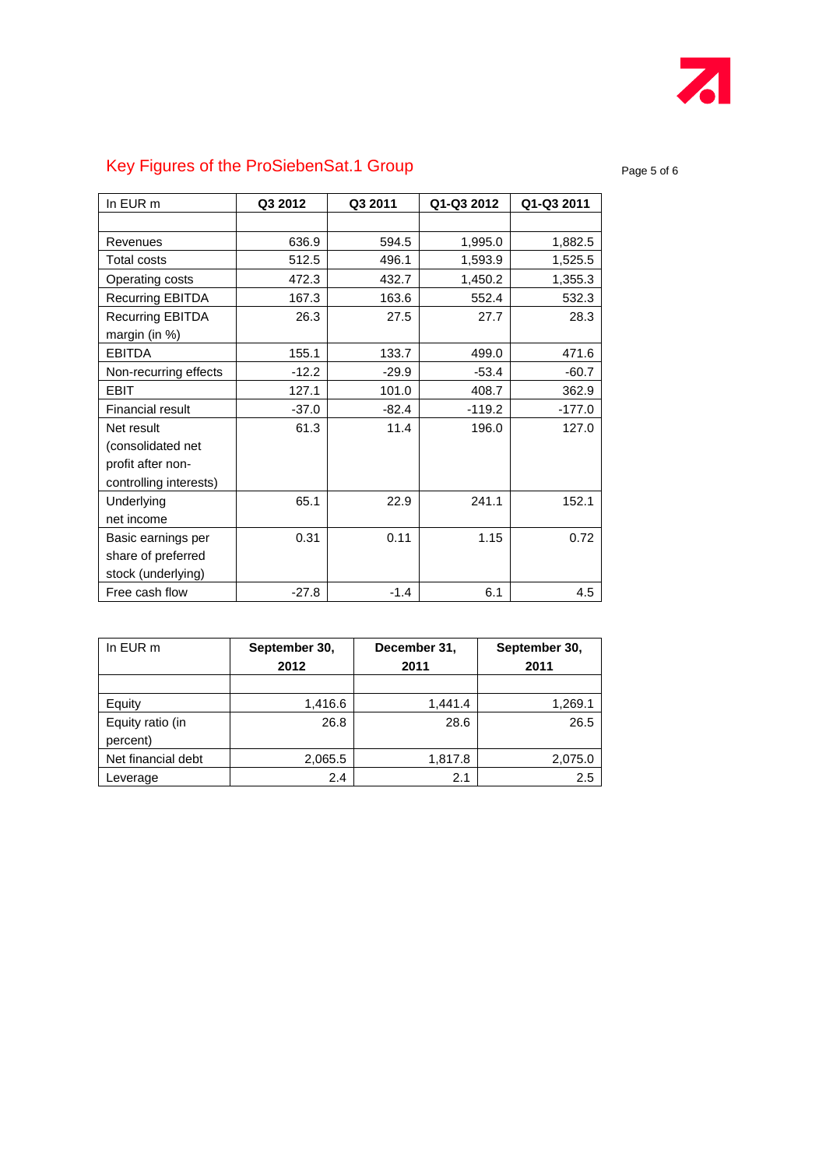

# Key Figures of the ProSiebenSat.1 Group example and the page 5 of 6

| In EUR m                | Q3 2012 | Q3 2011 | Q1-Q3 2012 | Q1-Q3 2011 |
|-------------------------|---------|---------|------------|------------|
|                         |         |         |            |            |
| Revenues                | 636.9   | 594.5   | 1,995.0    | 1,882.5    |
| <b>Total costs</b>      | 512.5   | 496.1   | 1,593.9    | 1,525.5    |
| Operating costs         | 472.3   | 432.7   | 1,450.2    | 1,355.3    |
| <b>Recurring EBITDA</b> | 167.3   | 163.6   | 552.4      | 532.3      |
| <b>Recurring EBITDA</b> | 26.3    | 27.5    | 27.7       | 28.3       |
| margin (in %)           |         |         |            |            |
| <b>EBITDA</b>           | 155.1   | 133.7   | 499.0      | 471.6      |
| Non-recurring effects   | $-12.2$ | $-29.9$ | $-53.4$    | $-60.7$    |
| <b>EBIT</b>             | 127.1   | 101.0   | 408.7      | 362.9      |
| Financial result        | $-37.0$ | $-82.4$ | $-119.2$   | $-177.0$   |
| Net result              | 61.3    | 11.4    | 196.0      | 127.0      |
| (consolidated net       |         |         |            |            |
| profit after non-       |         |         |            |            |
| controlling interests)  |         |         |            |            |
| Underlying              | 65.1    | 22.9    | 241.1      | 152.1      |
| net income              |         |         |            |            |
| Basic earnings per      | 0.31    | 0.11    | 1.15       | 0.72       |
| share of preferred      |         |         |            |            |
| stock (underlying)      |         |         |            |            |
| Free cash flow          | $-27.8$ | $-1.4$  | 6.1        | 4.5        |

| In EUR m                     | September 30,<br>2012 | December 31,<br>2011 | September 30,<br>2011 |  |
|------------------------------|-----------------------|----------------------|-----------------------|--|
|                              |                       |                      |                       |  |
| Equity                       | 1,416.6               | 1,441.4              | 1,269.1               |  |
| Equity ratio (in<br>percent) | 26.8                  | 28.6                 | 26.5                  |  |
| Net financial debt           | 2,065.5               | 1,817.8              | 2,075.0               |  |
| Leverage                     | 2.4                   | 2.1                  | 2.5                   |  |